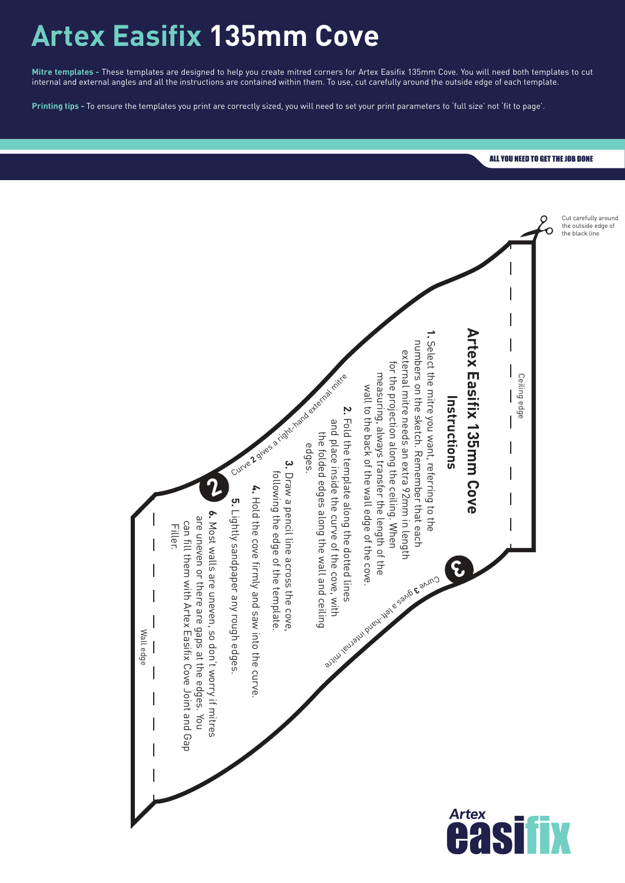## **Artex Easifix 135mm Cove**

**Mitre templates -** These templates are designed to help you create mitred corners for Artex Easifix 135mm Cove. You will need both templates to cut internal and external angles and all the instructions are contained within them. To use, cut carefully around the outside edge of each template.

**Printing tips -** To ensure the templates you print are correctly sized, you will need to set your print parameters to 'full size' not 'fit to page'.